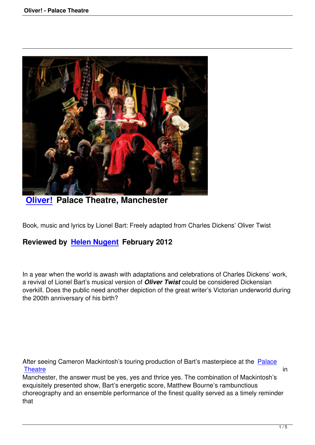

**Oliver! Palace Theatre, Manchester** 

[Book, mus](oliver-palace-theatre.html)ic and lyrics by Lionel Bart: Freely adapted from Charles Dickens' Oliver Twist

## **Reviewed by Helen Nugent February 2012**

In a year when t[he world is awash](speakers.html#helen-nugent) with adaptations and celebrations of Charles Dickens' work, a revival of Lionel Bart's musical version of *Oliver Twist* could be considered Dickensian overkill. Does the public need another depiction of the great writer's Victorian underworld during the 200th anniversary of his birth?

After seeing Cameron Mackintosh's touring production of Bart's masterpiece at the Palace Theatre in the second contract of the second contract of the second contract of the second contract of the second contract of the second contract of the second contract of the second contract of the second contract of the

Manchester, the answer must be yes, yes and thrice yes. The combination of Mackintosh's exquisitely presented show, Bart's energetic score, Matthew Bourne's rambunctious [choreogr](http://www.atgtickets.com/venues/palace-theatre-manchester/)aphy and an ensemble performance of the finest quality served as a timely [remind](http://www.atgtickets.com/venues/palace-theatre-manchester/)er that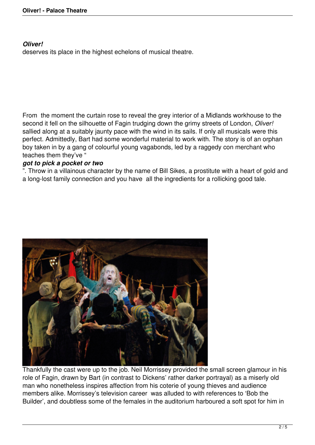## *Oliver!*

deserves its place in the highest echelons of musical theatre.

From the moment the curtain rose to reveal the grey interior of a Midlands workhouse to the second it fell on the silhouette of Fagin trudging down the grimy streets of London, *Oliver!* sallied along at a suitably jaunty pace with the wind in its sails. If only all musicals were this perfect. Admittedly, Bart had some wonderful material to work with. The story is of an orphan boy taken in by a gang of colourful young vagabonds, led by a raggedy con merchant who teaches them they've "

## *got to pick a pocket or two*

". Throw in a villainous character by the name of Bill Sikes, a prostitute with a heart of gold and a long-lost family connection and you have all the ingredients for a rollicking good tale.



Thankfully the cast were up to the job. Neil Morrissey provided the small screen glamour in his role of Fagin, drawn by Bart (in contrast to Dickens' rather darker portrayal) as a miserly old man who nonetheless inspires affection from his coterie of young thieves and audience members alike. Morrissey's television career was alluded to with references to 'Bob the Builder', and doubtless some of the females in the auditorium harboured a soft spot for him in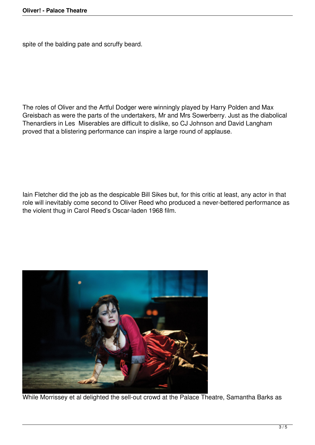spite of the balding pate and scruffy beard.

The roles of Oliver and the Artful Dodger were winningly played by Harry Polden and Max Greisbach as were the parts of the undertakers, Mr and Mrs Sowerberry. Just as the diabolical Thenardiers in Les Miserables are difficult to dislike, so CJ Johnson and David Langham proved that a blistering performance can inspire a large round of applause.

Iain Fletcher did the job as the despicable Bill Sikes but, for this critic at least, any actor in that role will inevitably come second to Oliver Reed who produced a never-bettered performance as the violent thug in Carol Reed's Oscar-laden 1968 film.



While Morrissey et al delighted the sell-out crowd at the Palace Theatre, Samantha Barks as